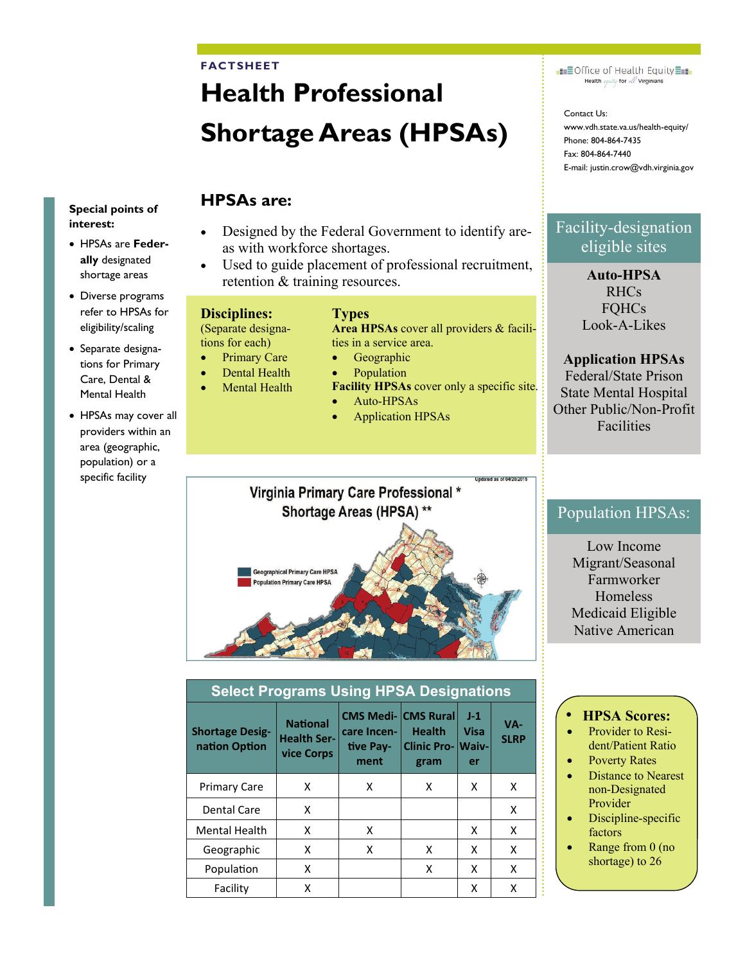#### **FACTSHEET**

# **Health Professional Shortage Areas (HPSAs)**

#### Special points of interest:

- HPSAs are Federally designated shortage areas
- Diverse programs refer to HPSAs for eligibility/scaling
- · Separate designations for Primary Care, Dental & Mental Health
- HPSAs may cover all providers within an area (geographic, population) or a specific facility

# **HPSAs are:**

- Designed by the Federal Government to identify areas with workforce shortages.
- Used to guide placement of professional recruitment, retention & training resources.

### **Disciplines:**

(Separate designations for each)

- **Primary Care**
- **Dental Health**
- **Mental Health**
- **Facility HPSAs cover only a specific site.** Auto-HPSAs

 $\bullet$ 

 $\bullet$ 

**Types** 

**Application HPSAs** 

ties in a service area.

Geographic

Population

Area HPSAs cover all providers & facili-

Jodated as of 04/20/2015

## Virginia Primary Care Professional \* Shortage Areas (HPSA) \*\*



| <b>Select Programs Using HPSA Designations</b> |                                                     |                                                                |                                                   |                     |                    |  |  |
|------------------------------------------------|-----------------------------------------------------|----------------------------------------------------------------|---------------------------------------------------|---------------------|--------------------|--|--|
| <b>Shortage Desig-</b><br>nation Option        | <b>National</b><br><b>Health Ser-</b><br>vice Corps | <b>CMS Medi- CMS Rural</b><br>care Incen-<br>tive Pay-<br>ment | <b>Health</b><br><b>Clinic Pro- Waiv-</b><br>gram | $J-1$<br>Visa<br>er | VA-<br><b>SLRP</b> |  |  |
| <b>Primary Care</b>                            | x                                                   | x                                                              | x                                                 | x                   | X                  |  |  |
| <b>Dental Care</b>                             | X                                                   |                                                                |                                                   |                     | x                  |  |  |
| <b>Mental Health</b>                           | X                                                   | x                                                              |                                                   | x                   | X                  |  |  |
| Geographic                                     | x                                                   | x                                                              | x                                                 | x                   | X                  |  |  |
| Population                                     | Χ                                                   |                                                                | x                                                 | x                   | X                  |  |  |
| Facility                                       | X                                                   |                                                                |                                                   | x                   | x                  |  |  |

**EEOffice of Health Equity** Health equity for all Virginians

Contact Us: www.vdh.state.va.us/health-equity/ Phone: 804-864-7435 Fax: 804-864-7440 E-mail: justin.crow@vdh.virginia.gov

# Facility-designation eligible sites

**Auto-HPSA RHCs FOHCs** Look-A-Likes

## **Application HPSAs**

Federal/State Prison **State Mental Hospital** Other Public/Non-Profit **Facilities** 

## **Population HPSAs:**

Low Income Migrant/Seasonal Farmworker Homeless Medicaid Eligible Native American

### **HPSA Scores:**

- Provider to Resident/Patient Ratio
- **Poverty Rates**
- **Distance to Nearest** non-Designated Provider
- Discipline-specific factors
- Range from  $0$  (no shortage) to 26